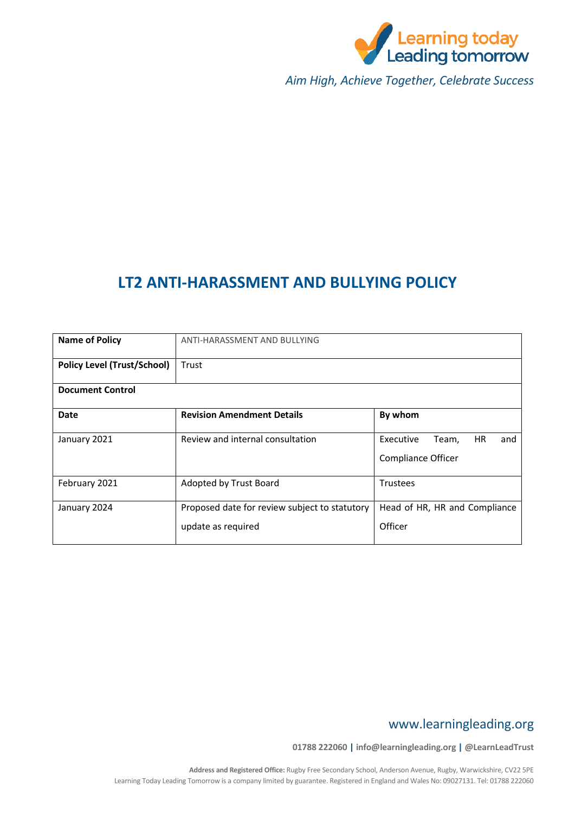

*Aim High, Achieve Together, Celebrate Success*

# **LT2 ANTI-HARASSMENT AND BULLYING POLICY**

| <b>Name of Policy</b>              | ANTI-HARASSMENT AND BULLYING                                        |                                                                     |
|------------------------------------|---------------------------------------------------------------------|---------------------------------------------------------------------|
| <b>Policy Level (Trust/School)</b> | Trust                                                               |                                                                     |
| <b>Document Control</b>            |                                                                     |                                                                     |
| Date                               | <b>Revision Amendment Details</b>                                   | By whom                                                             |
| January 2021                       | Review and internal consultation                                    | <b>HR</b><br>Executive<br>Team,<br>and<br><b>Compliance Officer</b> |
| February 2021                      | Adopted by Trust Board                                              | <b>Trustees</b>                                                     |
| January 2024                       | Proposed date for review subject to statutory<br>update as required | Head of HR, HR and Compliance<br>Officer                            |

## www.learningleading.org

**01788 222060 | info@learningleading.org | @LearnLeadTrust**

**Address and Registered Office:** Rugby Free Secondary School, Anderson Avenue, Rugby, Warwickshire, CV22 5PE Learning Today Leading Tomorrow is a company limited by guarantee. Registered in England and Wales No: 09027131. Tel: 01788 222060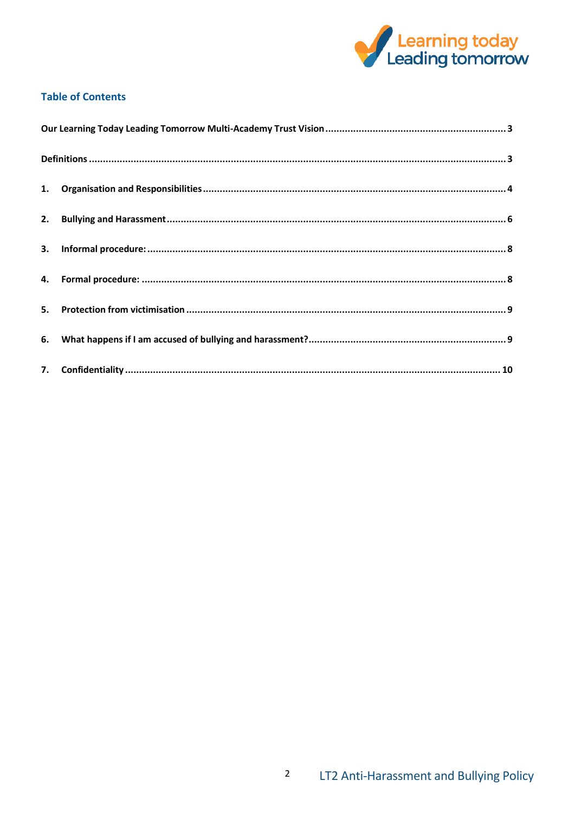

## **Table of Contents**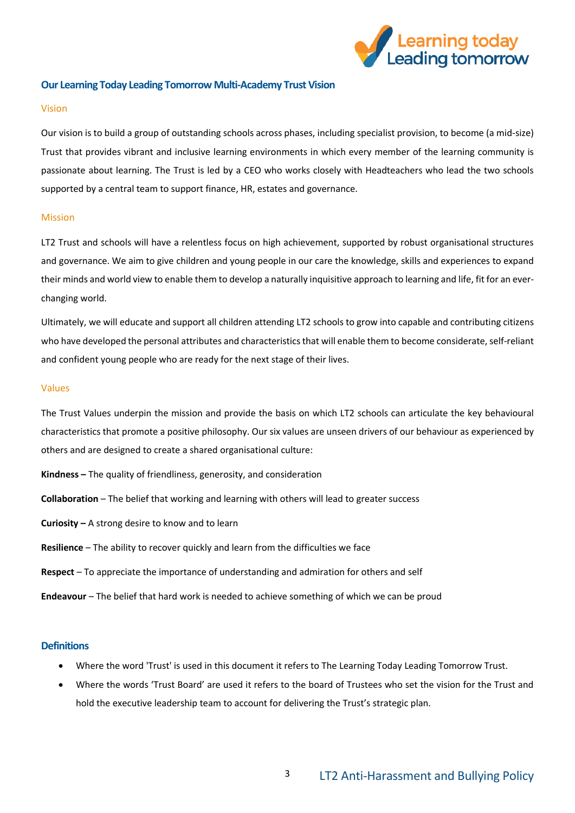

### <span id="page-2-0"></span>**Our Learning Today Leading Tomorrow Multi-Academy Trust Vision**

#### Vision

Our vision is to build a group of outstanding schools across phases, including specialist provision, to become (a mid-size) Trust that provides vibrant and inclusive learning environments in which every member of the learning community is passionate about learning. The Trust is led by a CEO who works closely with Headteachers who lead the two schools supported by a central team to support finance, HR, estates and governance.

#### Mission

LT2 Trust and schools will have a relentless focus on high achievement, supported by robust organisational structures and governance. We aim to give children and young people in our care the knowledge, skills and experiences to expand their minds and world view to enable them to develop a naturally inquisitive approach to learning and life, fit for an everchanging world.

Ultimately, we will educate and support all children attending LT2 schools to grow into capable and contributing citizens who have developed the personal attributes and characteristics that will enable them to become considerate, self-reliant and confident young people who are ready for the next stage of their lives.

#### Values

The Trust Values underpin the mission and provide the basis on which LT2 schools can articulate the key behavioural characteristics that promote a positive philosophy. Our six values are unseen drivers of our behaviour as experienced by others and are designed to create a shared organisational culture:

- **Kindness –** The quality of friendliness, generosity, and consideration
- **Collaboration** The belief that working and learning with others will lead to greater success
- **Curiosity –** A strong desire to know and to learn
- **Resilience** The ability to recover quickly and learn from the difficulties we face
- **Respect** To appreciate the importance of understanding and admiration for others and self
- **Endeavour** The belief that hard work is needed to achieve something of which we can be proud

## <span id="page-2-1"></span>**Definitions**

- Where the word 'Trust' is used in this document it refers to The Learning Today Leading Tomorrow Trust.
- Where the words 'Trust Board' are used it refers to the board of Trustees who set the vision for the Trust and hold the executive leadership team to account for delivering the Trust's strategic plan.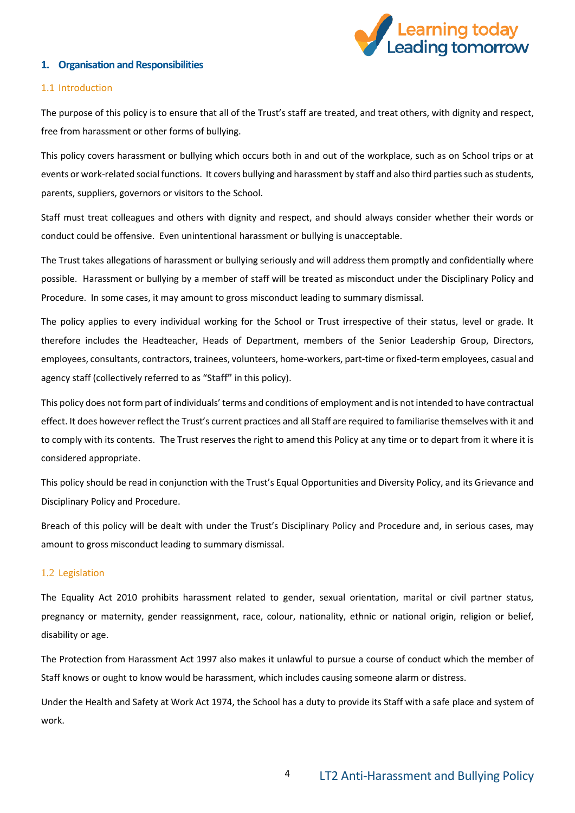

### <span id="page-3-0"></span>**1. Organisation and Responsibilities**

#### 1.1 Introduction

The purpose of this policy is to ensure that all of the Trust's staff are treated, and treat others, with dignity and respect, free from harassment or other forms of bullying.

This policy covers harassment or bullying which occurs both in and out of the workplace, such as on School trips or at events or work-related social functions. It covers bullying and harassment by staff and also third parties such as students, parents, suppliers, governors or visitors to the School.

Staff must treat colleagues and others with dignity and respect, and should always consider whether their words or conduct could be offensive. Even unintentional harassment or bullying is unacceptable.

The Trust takes allegations of harassment or bullying seriously and will address them promptly and confidentially where possible. Harassment or bullying by a member of staff will be treated as misconduct under the Disciplinary Policy and Procedure. In some cases, it may amount to gross misconduct leading to summary dismissal.

The policy applies to every individual working for the School or Trust irrespective of their status, level or grade. It therefore includes the Headteacher, Heads of Department, members of the Senior Leadership Group, Directors, employees, consultants, contractors, trainees, volunteers, home-workers, part-time or fixed-term employees, casual and agency staff (collectively referred to as "S**taff"** in this policy).

This policy does not form part of individuals' terms and conditions of employment and is not intended to have contractual effect. It does however reflect the Trust's current practices and all Staff are required to familiarise themselves with it and to comply with its contents. The Trust reserves the right to amend this Policy at any time or to depart from it where it is considered appropriate.

This policy should be read in conjunction with the Trust's Equal Opportunities and Diversity Policy, and its Grievance and Disciplinary Policy and Procedure.

Breach of this policy will be dealt with under the Trust's Disciplinary Policy and Procedure and, in serious cases, may amount to gross misconduct leading to summary dismissal.

#### 1.2 Legislation

The Equality Act 2010 prohibits harassment related to gender, sexual orientation, marital or civil partner status, pregnancy or maternity, gender reassignment, race, colour, nationality, ethnic or national origin, religion or belief, disability or age.

The Protection from Harassment Act 1997 also makes it unlawful to pursue a course of conduct which the member of Staff knows or ought to know would be harassment, which includes causing someone alarm or distress.

Under the Health and Safety at Work Act 1974, the School has a duty to provide its Staff with a safe place and system of work.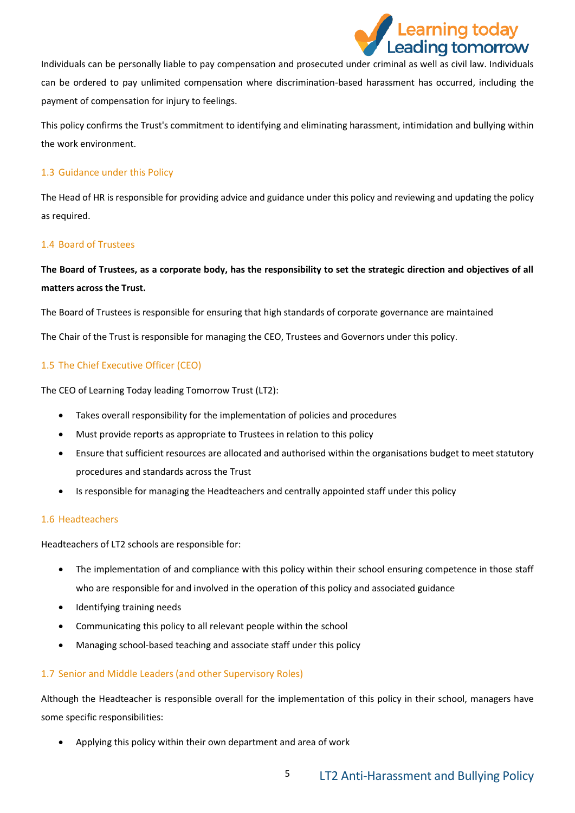

Individuals can be personally liable to pay compensation and prosecuted under criminal as well as civil law. Individuals can be ordered to pay unlimited compensation where discrimination-based harassment has occurred, including the payment of compensation for injury to feelings.

This policy confirms the Trust's commitment to identifying and eliminating harassment, intimidation and bullying within the work environment.

### 1.3 Guidance under this Policy

The Head of HR is responsible for providing advice and guidance under this policy and reviewing and updating the policy as required.

### 1.4 Board of Trustees

## **The Board of Trustees, as a corporate body, has the responsibility to set the strategic direction and objectives of all matters across the Trust.**

The Board of Trustees is responsible for ensuring that high standards of corporate governance are maintained

The Chair of the Trust is responsible for managing the CEO, Trustees and Governors under this policy.

## 1.5 The Chief Executive Officer (CEO)

The CEO of Learning Today leading Tomorrow Trust (LT2):

- Takes overall responsibility for the implementation of policies and procedures
- Must provide reports as appropriate to Trustees in relation to this policy
- Ensure that sufficient resources are allocated and authorised within the organisations budget to meet statutory procedures and standards across the Trust
- Is responsible for managing the Headteachers and centrally appointed staff under this policy

#### 1.6 Headteachers

Headteachers of LT2 schools are responsible for:

- The implementation of and compliance with this policy within their school ensuring competence in those staff who are responsible for and involved in the operation of this policy and associated guidance
- Identifying training needs
- Communicating this policy to all relevant people within the school
- Managing school-based teaching and associate staff under this policy

## 1.7 Senior and Middle Leaders (and other Supervisory Roles)

Although the Headteacher is responsible overall for the implementation of this policy in their school, managers have some specific responsibilities:

Applying this policy within their own department and area of work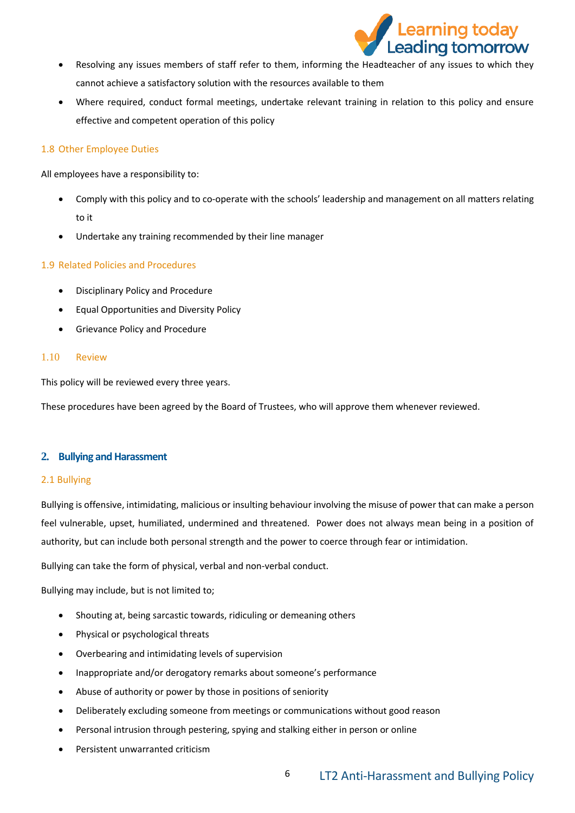

- Resolving any issues members of staff refer to them, informing the Headteacher of any issues to which they cannot achieve a satisfactory solution with the resources available to them
- Where required, conduct formal meetings, undertake relevant training in relation to this policy and ensure effective and competent operation of this policy

## 1.8 Other Employee Duties

All employees have a responsibility to:

- Comply with this policy and to co-operate with the schools' leadership and management on all matters relating to it
- Undertake any training recommended by their line manager

## 1.9 Related Policies and Procedures

- Disciplinary Policy and Procedure
- Equal Opportunities and Diversity Policy
- **•** Grievance Policy and Procedure

### 1.10 Review

This policy will be reviewed every three years.

These procedures have been agreed by the Board of Trustees, who will approve them whenever reviewed.

## <span id="page-5-0"></span>**2. Bullying and Harassment**

## 2.1 Bullying

Bullying is offensive, intimidating, malicious or insulting behaviour involving the misuse of power that can make a person feel vulnerable, upset, humiliated, undermined and threatened. Power does not always mean being in a position of authority, but can include both personal strength and the power to coerce through fear or intimidation.

Bullying can take the form of physical, verbal and non-verbal conduct.

Bullying may include, but is not limited to;

- Shouting at, being sarcastic towards, ridiculing or demeaning others
- Physical or psychological threats
- Overbearing and intimidating levels of supervision
- Inappropriate and/or derogatory remarks about someone's performance
- Abuse of authority or power by those in positions of seniority
- Deliberately excluding someone from meetings or communications without good reason
- Personal intrusion through pestering, spying and stalking either in person or online
- Persistent unwarranted criticism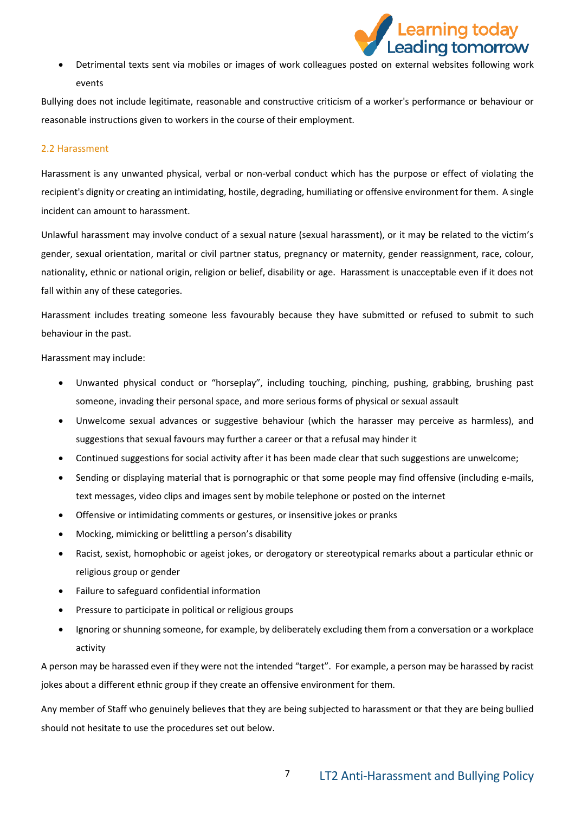

 Detrimental texts sent via mobiles or images of work colleagues posted on external websites following work events

Bullying does not include legitimate, reasonable and constructive criticism of a worker's performance or behaviour or reasonable instructions given to workers in the course of their employment.

#### 2.2 Harassment

Harassment is any unwanted physical, verbal or non-verbal conduct which has the purpose or effect of violating the recipient's dignity or creating an intimidating, hostile, degrading, humiliating or offensive environment for them. A single incident can amount to harassment.

Unlawful harassment may involve conduct of a sexual nature (sexual harassment), or it may be related to the victim's gender, sexual orientation, marital or civil partner status, pregnancy or maternity, gender reassignment, race, colour, nationality, ethnic or national origin, religion or belief, disability or age. Harassment is unacceptable even if it does not fall within any of these categories.

Harassment includes treating someone less favourably because they have submitted or refused to submit to such behaviour in the past.

Harassment may include:

- Unwanted physical conduct or "horseplay", including touching, pinching, pushing, grabbing, brushing past someone, invading their personal space, and more serious forms of physical or sexual assault
- Unwelcome sexual advances or suggestive behaviour (which the harasser may perceive as harmless), and suggestions that sexual favours may further a career or that a refusal may hinder it
- Continued suggestions for social activity after it has been made clear that such suggestions are unwelcome;
- Sending or displaying material that is pornographic or that some people may find offensive (including e-mails, text messages, video clips and images sent by mobile telephone or posted on the internet
- Offensive or intimidating comments or gestures, or insensitive jokes or pranks
- Mocking, mimicking or belittling a person's disability
- Racist, sexist, homophobic or ageist jokes, or derogatory or stereotypical remarks about a particular ethnic or religious group or gender
- Failure to safeguard confidential information
- Pressure to participate in political or religious groups
- Ignoring or shunning someone, for example, by deliberately excluding them from a conversation or a workplace activity

A person may be harassed even if they were not the intended "target". For example, a person may be harassed by racist jokes about a different ethnic group if they create an offensive environment for them.

Any member of Staff who genuinely believes that they are being subjected to harassment or that they are being bullied should not hesitate to use the procedures set out below.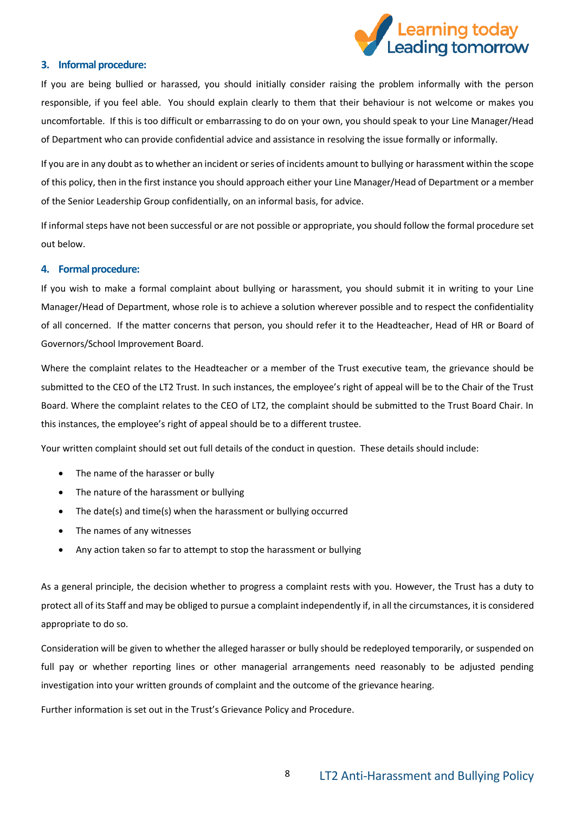

#### <span id="page-7-0"></span>**3. Informal procedure:**

If you are being bullied or harassed, you should initially consider raising the problem informally with the person responsible, if you feel able. You should explain clearly to them that their behaviour is not welcome or makes you uncomfortable. If this is too difficult or embarrassing to do on your own, you should speak to your Line Manager/Head of Department who can provide confidential advice and assistance in resolving the issue formally or informally.

If you are in any doubt as to whether an incident or series of incidents amount to bullying or harassment within the scope of this policy, then in the first instance you should approach either your Line Manager/Head of Department or a member of the Senior Leadership Group confidentially, on an informal basis, for advice.

If informal steps have not been successful or are not possible or appropriate, you should follow the formal procedure set out below.

#### <span id="page-7-1"></span>**4. Formal procedure:**

If you wish to make a formal complaint about bullying or harassment, you should submit it in writing to your Line Manager/Head of Department, whose role is to achieve a solution wherever possible and to respect the confidentiality of all concerned. If the matter concerns that person, you should refer it to the Headteacher, Head of HR or Board of Governors/School Improvement Board.

Where the complaint relates to the Headteacher or a member of the Trust executive team, the grievance should be submitted to the CEO of the LT2 Trust. In such instances, the employee's right of appeal will be to the Chair of the Trust Board. Where the complaint relates to the CEO of LT2, the complaint should be submitted to the Trust Board Chair. In this instances, the employee's right of appeal should be to a different trustee.

Your written complaint should set out full details of the conduct in question. These details should include:

- The name of the harasser or bully
- The nature of the harassment or bullying
- The date(s) and time(s) when the harassment or bullying occurred
- The names of any witnesses
- Any action taken so far to attempt to stop the harassment or bullying

As a general principle, the decision whether to progress a complaint rests with you. However, the Trust has a duty to protect all of its Staff and may be obliged to pursue a complaint independently if, in all the circumstances, it is considered appropriate to do so.

Consideration will be given to whether the alleged harasser or bully should be redeployed temporarily, or suspended on full pay or whether reporting lines or other managerial arrangements need reasonably to be adjusted pending investigation into your written grounds of complaint and the outcome of the grievance hearing.

Further information is set out in the Trust's Grievance Policy and Procedure.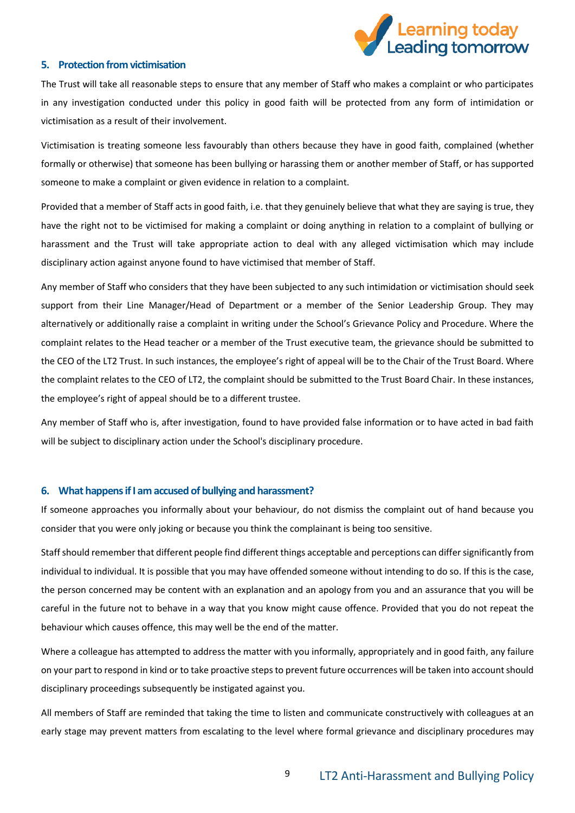

#### <span id="page-8-0"></span>**5. Protection from victimisation**

The Trust will take all reasonable steps to ensure that any member of Staff who makes a complaint or who participates in any investigation conducted under this policy in good faith will be protected from any form of intimidation or victimisation as a result of their involvement.

Victimisation is treating someone less favourably than others because they have in good faith, complained (whether formally or otherwise) that someone has been bullying or harassing them or another member of Staff, or has supported someone to make a complaint or given evidence in relation to a complaint.

Provided that a member of Staff acts in good faith, i.e. that they genuinely believe that what they are saying is true, they have the right not to be victimised for making a complaint or doing anything in relation to a complaint of bullying or harassment and the Trust will take appropriate action to deal with any alleged victimisation which may include disciplinary action against anyone found to have victimised that member of Staff.

Any member of Staff who considers that they have been subjected to any such intimidation or victimisation should seek support from their Line Manager/Head of Department or a member of the Senior Leadership Group. They may alternatively or additionally raise a complaint in writing under the School's Grievance Policy and Procedure. Where the complaint relates to the Head teacher or a member of the Trust executive team, the grievance should be submitted to the CEO of the LT2 Trust. In such instances, the employee's right of appeal will be to the Chair of the Trust Board. Where the complaint relates to the CEO of LT2, the complaint should be submitted to the Trust Board Chair. In these instances, the employee's right of appeal should be to a different trustee.

Any member of Staff who is, after investigation, found to have provided false information or to have acted in bad faith will be subject to disciplinary action under the School's disciplinary procedure.

#### <span id="page-8-1"></span>**6. What happens if I am accused of bullying and harassment?**

If someone approaches you informally about your behaviour, do not dismiss the complaint out of hand because you consider that you were only joking or because you think the complainant is being too sensitive.

Staff should remember that different people find different things acceptable and perceptions can differ significantly from individual to individual. It is possible that you may have offended someone without intending to do so. If this is the case, the person concerned may be content with an explanation and an apology from you and an assurance that you will be careful in the future not to behave in a way that you know might cause offence. Provided that you do not repeat the behaviour which causes offence, this may well be the end of the matter.

Where a colleague has attempted to address the matter with you informally, appropriately and in good faith, any failure on your part to respond in kind or to take proactive steps to prevent future occurrences will be taken into account should disciplinary proceedings subsequently be instigated against you.

All members of Staff are reminded that taking the time to listen and communicate constructively with colleagues at an early stage may prevent matters from escalating to the level where formal grievance and disciplinary procedures may